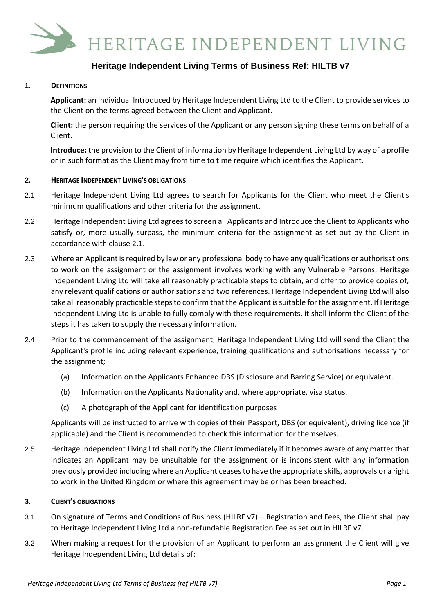

# **Heritage Independent Living Terms of Business Ref: HILTB v7**

### **1. DEFINITIONS**

**Applicant:** an individual Introduced by Heritage Independent Living Ltd to the Client to provide services to the Client on the terms agreed between the Client and Applicant.

**Client:** the person requiring the services of the Applicant or any person signing these terms on behalf of a Client.

**Introduce:** the provision to the Client of information by Heritage Independent Living Ltd by way of a profile or in such format as the Client may from time to time require which identifies the Applicant.

#### **2. HERITAGE INDEPENDENT LIVING'S OBLIGATIONS**

- 2.1 Heritage Independent Living Ltd agrees to search for Applicants for the Client who meet the Client's minimum qualifications and other criteria for the assignment.
- 2.2 Heritage Independent Living Ltd agrees to screen all Applicants and Introduce the Client to Applicants who satisfy or, more usually surpass, the minimum criteria for the assignment as set out by the Client in accordance with clause 2.1.
- 2.3 Where an Applicant is required by law or any professional body to have any qualifications or authorisations to work on the assignment or the assignment involves working with any Vulnerable Persons, Heritage Independent Living Ltd will take all reasonably practicable steps to obtain, and offer to provide copies of, any relevant qualifications or authorisations and two references. Heritage Independent Living Ltd will also take all reasonably practicable steps to confirm that the Applicant is suitable for the assignment. If Heritage Independent Living Ltd is unable to fully comply with these requirements, it shall inform the Client of the steps it has taken to supply the necessary information.
- 2.4 Prior to the commencement of the assignment, Heritage Independent Living Ltd will send the Client the Applicant's profile including relevant experience, training qualifications and authorisations necessary for the assignment;
	- (a) Information on the Applicants Enhanced DBS (Disclosure and Barring Service) or equivalent.
	- (b) Information on the Applicants Nationality and, where appropriate, visa status.
	- (c) A photograph of the Applicant for identification purposes

Applicants will be instructed to arrive with copies of their Passport, DBS (or equivalent), driving licence (if applicable) and the Client is recommended to check this information for themselves.

2.5 Heritage Independent Living Ltd shall notify the Client immediately if it becomes aware of any matter that indicates an Applicant may be unsuitable for the assignment or is inconsistent with any information previously provided including where an Applicant ceases to have the appropriate skills, approvals or a right to work in the United Kingdom or where this agreement may be or has been breached.

#### **3. CLIENT'S OBLIGATIONS**

- 3.1 On signature of Terms and Conditions of Business (HILRF v7) Registration and Fees, the Client shall pay to Heritage Independent Living Ltd a non-refundable Registration Fee as set out in HILRF v7.
- 3.2 When making a request for the provision of an Applicant to perform an assignment the Client will give Heritage Independent Living Ltd details of: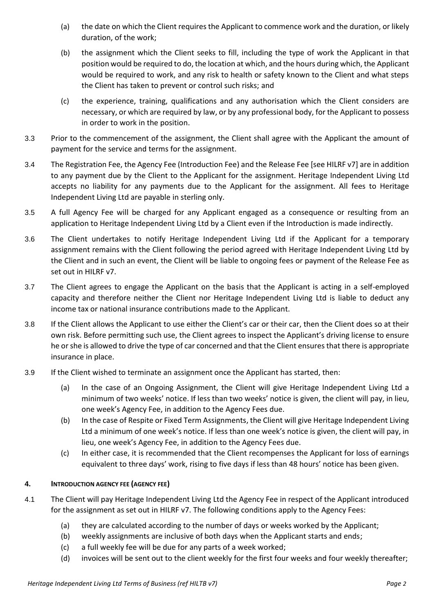- (a) the date on which the Client requires the Applicant to commence work and the duration, or likely duration, of the work;
- (b) the assignment which the Client seeks to fill, including the type of work the Applicant in that position would be required to do, the location at which, and the hours during which, the Applicant would be required to work, and any risk to health or safety known to the Client and what steps the Client has taken to prevent or control such risks; and
- (c) the experience, training, qualifications and any authorisation which the Client considers are necessary, or which are required by law, or by any professional body, for the Applicant to possess in order to work in the position.
- 3.3 Prior to the commencement of the assignment, the Client shall agree with the Applicant the amount of payment for the service and terms for the assignment.
- 3.4 The Registration Fee, the Agency Fee (Introduction Fee) and the Release Fee [see HILRF v7] are in addition to any payment due by the Client to the Applicant for the assignment. Heritage Independent Living Ltd accepts no liability for any payments due to the Applicant for the assignment. All fees to Heritage Independent Living Ltd are payable in sterling only.
- 3.5 A full Agency Fee will be charged for any Applicant engaged as a consequence or resulting from an application to Heritage Independent Living Ltd by a Client even if the Introduction is made indirectly.
- 3.6 The Client undertakes to notify Heritage Independent Living Ltd if the Applicant for a temporary assignment remains with the Client following the period agreed with Heritage Independent Living Ltd by the Client and in such an event, the Client will be liable to ongoing fees or payment of the Release Fee as set out in HILRF v7.
- 3.7 The Client agrees to engage the Applicant on the basis that the Applicant is acting in a self-employed capacity and therefore neither the Client nor Heritage Independent Living Ltd is liable to deduct any income tax or national insurance contributions made to the Applicant.
- 3.8 If the Client allows the Applicant to use either the Client's car or their car, then the Client does so at their own risk. Before permitting such use, the Client agrees to inspect the Applicant's driving license to ensure he or she is allowed to drive the type of car concerned and that the Client ensures that there is appropriate insurance in place.
- 3.9 If the Client wished to terminate an assignment once the Applicant has started, then:
	- (a) In the case of an Ongoing Assignment, the Client will give Heritage Independent Living Ltd a minimum of two weeks' notice. If less than two weeks' notice is given, the client will pay, in lieu, one week's Agency Fee, in addition to the Agency Fees due.
	- (b) In the case of Respite or Fixed Term Assignments, the Client will give Heritage Independent Living Ltd a minimum of one week's notice. If less than one week's notice is given, the client will pay, in lieu, one week's Agency Fee, in addition to the Agency Fees due.
	- (c) In either case, it is recommended that the Client recompenses the Applicant for loss of earnings equivalent to three days' work, rising to five days if less than 48 hours' notice has been given.

## **4. INTRODUCTION AGENCY FEE (AGENCY FEE)**

- 4.1 The Client will pay Heritage Independent Living Ltd the Agency Fee in respect of the Applicant introduced for the assignment as set out in HILRF v7. The following conditions apply to the Agency Fees:
	- (a) they are calculated according to the number of days or weeks worked by the Applicant;
	- (b) weekly assignments are inclusive of both days when the Applicant starts and ends;
	- (c) a full weekly fee will be due for any parts of a week worked;
	- (d) invoices will be sent out to the client weekly for the first four weeks and four weekly thereafter;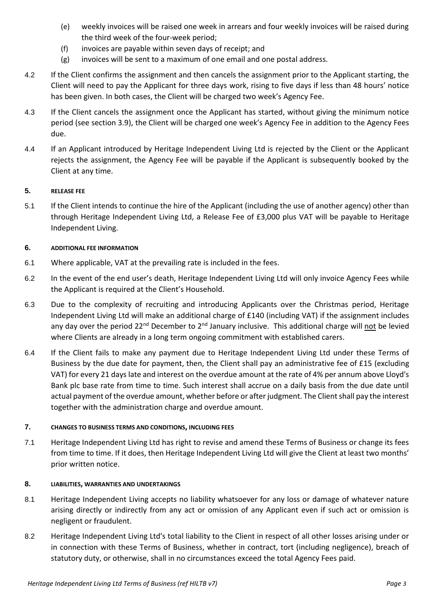- (e) weekly invoices will be raised one week in arrears and four weekly invoices will be raised during the third week of the four-week period;
- (f) invoices are payable within seven days of receipt; and
- (g) invoices will be sent to a maximum of one email and one postal address.
- 4.2 If the Client confirms the assignment and then cancels the assignment prior to the Applicant starting, the Client will need to pay the Applicant for three days work, rising to five days if less than 48 hours' notice has been given. In both cases, the Client will be charged two week's Agency Fee.
- 4.3 If the Client cancels the assignment once the Applicant has started, without giving the minimum notice period (see section 3.9), the Client will be charged one week's Agency Fee in addition to the Agency Fees due.
- 4.4 If an Applicant introduced by Heritage Independent Living Ltd is rejected by the Client or the Applicant rejects the assignment, the Agency Fee will be payable if the Applicant is subsequently booked by the Client at any time.

### **5. RELEASE FEE**

5.1 If the Client intends to continue the hire of the Applicant (including the use of another agency) other than through Heritage Independent Living Ltd, a Release Fee of £3,000 plus VAT will be payable to Heritage Independent Living.

### **6. ADDITIONAL FEE INFORMATION**

- 6.1 Where applicable, VAT at the prevailing rate is included in the fees.
- 6.2 In the event of the end user's death, Heritage Independent Living Ltd will only invoice Agency Fees while the Applicant is required at the Client's Household.
- 6.3 Due to the complexity of recruiting and introducing Applicants over the Christmas period, Heritage Independent Living Ltd will make an additional charge of £140 (including VAT) if the assignment includes any day over the period  $22^{nd}$  December to  $2^{nd}$  January inclusive. This additional charge will not be levied where Clients are already in a long term ongoing commitment with established carers.
- 6.4 If the Client fails to make any payment due to Heritage Independent Living Ltd under these Terms of Business by the due date for payment, then, the Client shall pay an administrative fee of £15 (excluding VAT) for every 21 days late and interest on the overdue amount at the rate of 4% per annum above Lloyd's Bank plc base rate from time to time. Such interest shall accrue on a daily basis from the due date until actual payment of the overdue amount, whether before or after judgment. The Client shall pay the interest together with the administration charge and overdue amount.

### **7. CHANGES TO BUSINESS TERMS AND CONDITIONS, INCLUDING FEES**

7.1 Heritage Independent Living Ltd has right to revise and amend these Terms of Business or change its fees from time to time. If it does, then Heritage Independent Living Ltd will give the Client at least two months' prior written notice.

### **8. LIABILITIES, WARRANTIES AND UNDERTAKINGS**

- 8.1 Heritage Independent Living accepts no liability whatsoever for any loss or damage of whatever nature arising directly or indirectly from any act or omission of any Applicant even if such act or omission is negligent or fraudulent.
- 8.2 Heritage Independent Living Ltd's total liability to the Client in respect of all other losses arising under or in connection with these Terms of Business, whether in contract, tort (including negligence), breach of statutory duty, or otherwise, shall in no circumstances exceed the total Agency Fees paid.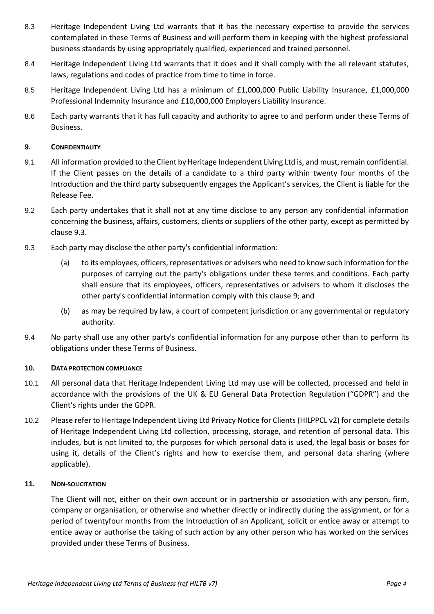- 8.3 Heritage Independent Living Ltd warrants that it has the necessary expertise to provide the services contemplated in these Terms of Business and will perform them in keeping with the highest professional business standards by using appropriately qualified, experienced and trained personnel.
- 8.4 Heritage Independent Living Ltd warrants that it does and it shall comply with the all relevant statutes, laws, regulations and codes of practice from time to time in force.
- 8.5 Heritage Independent Living Ltd has a minimum of £1,000,000 Public Liability Insurance, £1,000,000 Professional Indemnity Insurance and £10,000,000 Employers Liability Insurance.
- 8.6 Each party warrants that it has full capacity and authority to agree to and perform under these Terms of Business.

### **9. CONFIDENTIALITY**

- 9.1 All information provided to the Client by Heritage Independent Living Ltd is, and must, remain confidential. If the Client passes on the details of a candidate to a third party within twenty four months of the Introduction and the third party subsequently engages the Applicant's services, the Client is liable for the Release Fee.
- 9.2 Each party undertakes that it shall not at any time disclose to any person any confidential information concerning the business, affairs, customers, clients or suppliers of the other party, except as permitted by clause [9.3.](#page-3-0)
- <span id="page-3-0"></span>9.3 Each party may disclose the other party's confidential information:
	- (a) to its employees, officers, representatives or advisers who need to know such information for the purposes of carrying out the party's obligations under these terms and conditions. Each party shall ensure that its employees, officers, representatives or advisers to whom it discloses the other party's confidential information comply with this clause 9; and
	- (b) as may be required by law, a court of competent jurisdiction or any governmental or regulatory authority.
- 9.4 No party shall use any other party's confidential information for any purpose other than to perform its obligations under these Terms of Business.

### **10. DATA PROTECTION COMPLIANCE**

- 10.1 All personal data that Heritage Independent Living Ltd may use will be collected, processed and held in accordance with the provisions of the UK & EU General Data Protection Regulation ("GDPR") and the Client's rights under the GDPR.
- 10.2 Please refer to Heritage Independent Living Ltd Privacy Notice for Clients (HILPPCL v2) for complete details of Heritage Independent Living Ltd collection, processing, storage, and retention of personal data. This includes, but is not limited to, the purposes for which personal data is used, the legal basis or bases for using it, details of the Client's rights and how to exercise them, and personal data sharing (where applicable).

### **11. NON-SOLICITATION**

The Client will not, either on their own account or in partnership or association with any person, firm, company or organisation, or otherwise and whether directly or indirectly during the assignment, or for a period of twentyfour months from the Introduction of an Applicant, solicit or entice away or attempt to entice away or authorise the taking of such action by any other person who has worked on the services provided under these Terms of Business.